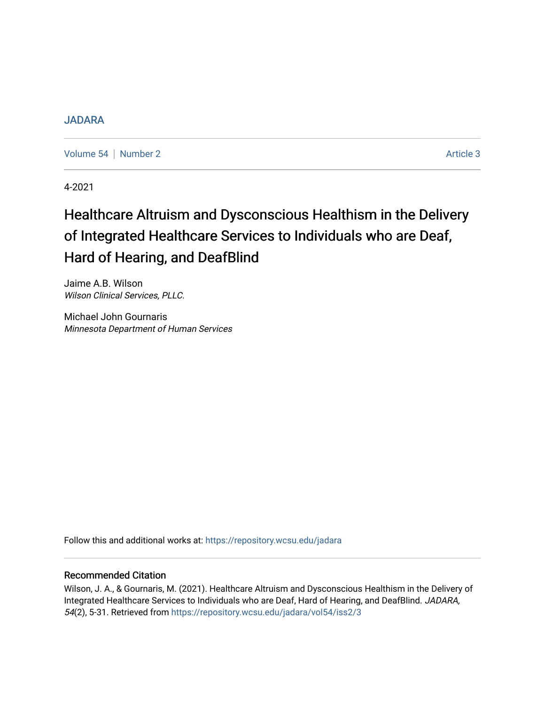#### [JADARA](https://repository.wcsu.edu/jadara)

[Volume 54](https://repository.wcsu.edu/jadara/vol54) | [Number 2](https://repository.wcsu.edu/jadara/vol54/iss2) Article 3

4-2021

# Healthcare Altruism and Dysconscious Healthism in the Delivery of Integrated Healthcare Services to Individuals who are Deaf, Hard of Hearing, and DeafBlind

Jaime A.B. Wilson Wilson Clinical Services, PLLC.

Michael John Gournaris Minnesota Department of Human Services

Follow this and additional works at: [https://repository.wcsu.edu/jadara](https://repository.wcsu.edu/jadara?utm_source=repository.wcsu.edu%2Fjadara%2Fvol54%2Fiss2%2F3&utm_medium=PDF&utm_campaign=PDFCoverPages)

#### Recommended Citation

Wilson, J. A., & Gournaris, M. (2021). Healthcare Altruism and Dysconscious Healthism in the Delivery of Integrated Healthcare Services to Individuals who are Deaf, Hard of Hearing, and DeafBlind. JADARA, 54(2), 5-31. Retrieved from [https://repository.wcsu.edu/jadara/vol54/iss2/3](https://repository.wcsu.edu/jadara/vol54/iss2/3?utm_source=repository.wcsu.edu%2Fjadara%2Fvol54%2Fiss2%2F3&utm_medium=PDF&utm_campaign=PDFCoverPages)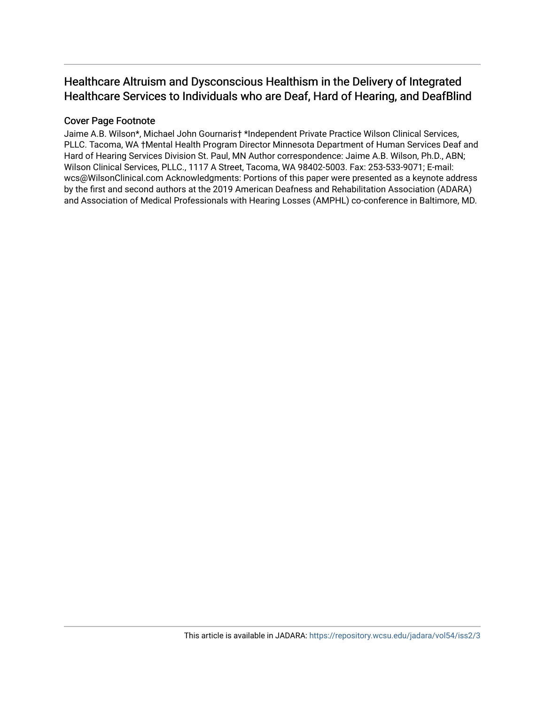# Healthcare Altruism and Dysconscious Healthism in the Delivery of Integrated Healthcare Services to Individuals who are Deaf, Hard of Hearing, and DeafBlind

#### Cover Page Footnote

Jaime A.B. Wilson\*, Michael John Gournaris† \*Independent Private Practice Wilson Clinical Services, PLLC. Tacoma, WA †Mental Health Program Director Minnesota Department of Human Services Deaf and Hard of Hearing Services Division St. Paul, MN Author correspondence: Jaime A.B. Wilson, Ph.D., ABN; Wilson Clinical Services, PLLC., 1117 A Street, Tacoma, WA 98402-5003. Fax: 253-533-9071; E-mail: wcs@WilsonClinical.com Acknowledgments: Portions of this paper were presented as a keynote address by the first and second authors at the 2019 American Deafness and Rehabilitation Association (ADARA) and Association of Medical Professionals with Hearing Losses (AMPHL) co-conference in Baltimore, MD.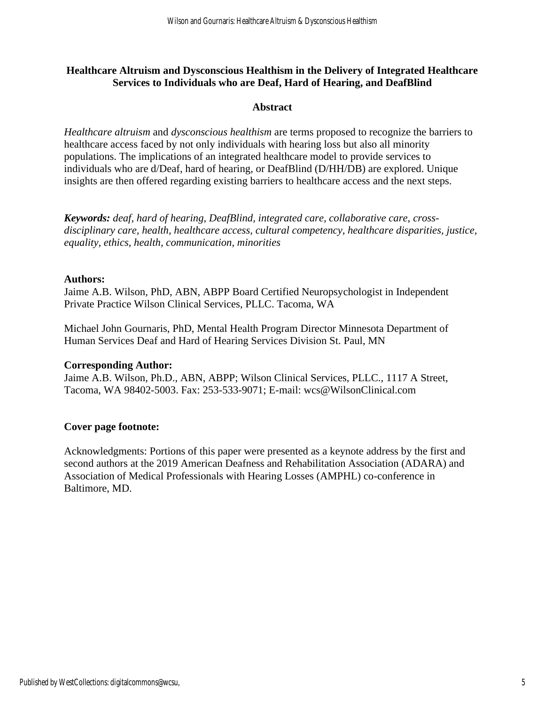## **Healthcare Altruism and Dysconscious Healthism in the Delivery of Integrated Healthcare Services to Individuals who are Deaf, Hard of Hearing, and DeafBlind**

#### **Abstract**

*Healthcare altruism* and *dysconscious healthism* are terms proposed to recognize the barriers to healthcare access faced by not only individuals with hearing loss but also all minority populations. The implications of an integrated healthcare model to provide services to individuals who are d/Deaf, hard of hearing, or DeafBlind (D/HH/DB) are explored. Unique insights are then offered regarding existing barriers to healthcare access and the next steps.

*Keywords: deaf, hard of hearing, DeafBlind, integrated care, collaborative care, crossdisciplinary care, health, healthcare access, cultural competency, healthcare disparities, justice, equality, ethics, health, communication, minorities*

#### **Authors:**

Jaime A.B. Wilson, PhD, ABN, ABPP Board Certified Neuropsychologist in Independent Private Practice Wilson Clinical Services, PLLC. Tacoma, WA

Michael John Gournaris, PhD, Mental Health Program Director Minnesota Department of Human Services Deaf and Hard of Hearing Services Division St. Paul, MN

#### **Corresponding Author:**

Jaime A.B. Wilson, Ph.D., ABN, ABPP; Wilson Clinical Services, PLLC., 1117 A Street, Tacoma, WA 98402-5003. Fax: 253-533-9071; E-mail: wcs@WilsonClinical.com

#### **Cover page footnote:**

Acknowledgments: Portions of this paper were presented as a keynote address by the first and second authors at the 2019 American Deafness and Rehabilitation Association (ADARA) and Association of Medical Professionals with Hearing Losses (AMPHL) co-conference in Baltimore, MD.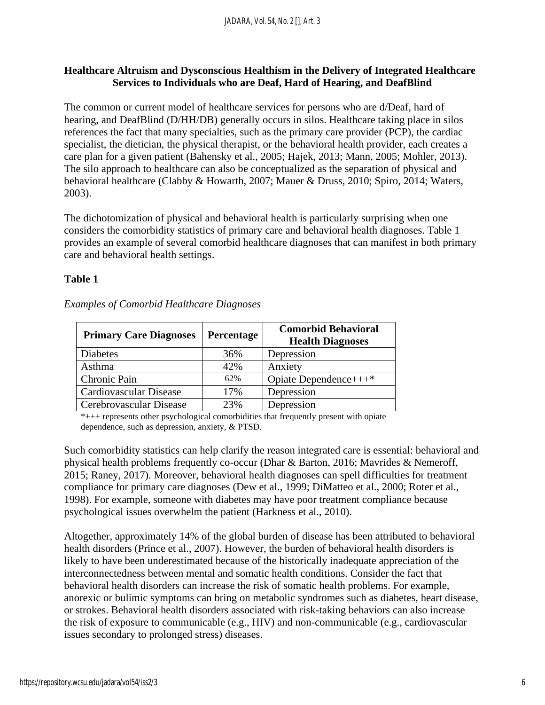#### **Healthcare Altruism and Dysconscious Healthism in the Delivery of Integrated Healthcare Services to Individuals who are Deaf, Hard of Hearing, and DeafBlind**

The common or current model of healthcare services for persons who are d/Deaf, hard of hearing, and DeafBlind (D/HH/DB) generally occurs in silos. Healthcare taking place in silos references the fact that many specialties, such as the primary care provider (PCP), the cardiac specialist, the dietician, the physical therapist, or the behavioral health provider, each creates a care plan for a given patient (Bahensky et al., 2005; Hajek, 2013; Mann, 2005; Mohler, 2013). The silo approach to healthcare can also be conceptualized as the separation of physical and behavioral healthcare (Clabby & Howarth, 2007; Mauer & Druss, 2010; Spiro, 2014; Waters, 2003).

The dichotomization of physical and behavioral health is particularly surprising when one considers the comorbidity statistics of primary care and behavioral health diagnoses. Table 1 provides an example of several comorbid healthcare diagnoses that can manifest in both primary care and behavioral health settings.

## **Table 1**

| <b>Primary Care Diagnoses</b> | <b>Percentage</b> | <b>Comorbid Behavioral</b><br><b>Health Diagnoses</b> |
|-------------------------------|-------------------|-------------------------------------------------------|
| <b>Diabetes</b>               | 36%               | Depression                                            |
| Asthma                        | 42%               | Anxiety                                               |
| Chronic Pain                  | 62%               | Opiate Dependence+++*                                 |
| <b>Cardiovascular Disease</b> | 17%               | Depression                                            |
| Cerebrovascular Disease       | 23%               | Depression                                            |

*Examples of Comorbid Healthcare Diagnoses*

\*+++ represents other psychological comorbidities that frequently present with opiate dependence, such as depression, anxiety, & PTSD.

Such comorbidity statistics can help clarify the reason integrated care is essential: behavioral and physical health problems frequently co-occur (Dhar & Barton, 2016; Mavrides & Nemeroff, 2015; Raney, 2017). Moreover, behavioral health diagnoses can spell difficulties for treatment compliance for primary care diagnoses (Dew et al., 1999; DiMatteo et al., 2000; Roter et al., 1998). For example, someone with diabetes may have poor treatment compliance because psychological issues overwhelm the patient (Harkness et al., 2010).

Altogether, approximately 14% of the global burden of disease has been attributed to behavioral health disorders (Prince et al., 2007). However, the burden of behavioral health disorders is likely to have been underestimated because of the historically inadequate appreciation of the interconnectedness between mental and somatic health conditions. Consider the fact that behavioral health disorders can increase the risk of somatic health problems. For example, anorexic or bulimic symptoms can bring on metabolic syndromes such as diabetes, heart disease, or strokes. Behavioral health disorders associated with risk-taking behaviors can also increase the risk of exposure to communicable (e.g., HIV) and non-communicable (e.g., cardiovascular issues secondary to prolonged stress) diseases.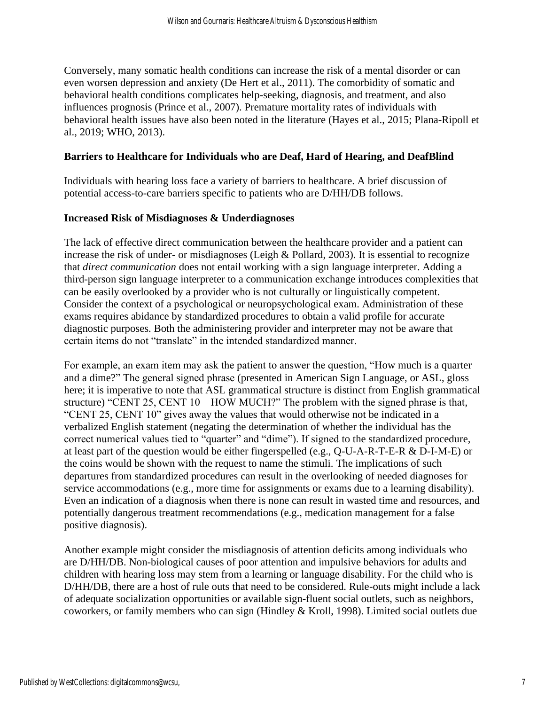Conversely, many somatic health conditions can increase the risk of a mental disorder or can even worsen depression and anxiety (De Hert et al., 2011). The comorbidity of somatic and behavioral health conditions complicates help-seeking, diagnosis, and treatment, and also influences prognosis (Prince et al., 2007). Premature mortality rates of individuals with behavioral health issues have also been noted in the literature (Hayes et al., 2015; Plana-Ripoll et al., 2019; WHO, 2013).

#### **Barriers to Healthcare for Individuals who are Deaf, Hard of Hearing, and DeafBlind**

Individuals with hearing loss face a variety of barriers to healthcare. A brief discussion of potential access-to-care barriers specific to patients who are D/HH/DB follows.

#### **Increased Risk of Misdiagnoses & Underdiagnoses**

The lack of effective direct communication between the healthcare provider and a patient can increase the risk of under- or misdiagnoses (Leigh & Pollard, 2003). It is essential to recognize that *direct communication* does not entail working with a sign language interpreter. Adding a third-person sign language interpreter to a communication exchange introduces complexities that can be easily overlooked by a provider who is not culturally or linguistically competent. Consider the context of a psychological or neuropsychological exam. Administration of these exams requires abidance by standardized procedures to obtain a valid profile for accurate diagnostic purposes. Both the administering provider and interpreter may not be aware that certain items do not "translate" in the intended standardized manner.

For example, an exam item may ask the patient to answer the question, "How much is a quarter and a dime?" The general signed phrase (presented in American Sign Language, or ASL, gloss here; it is imperative to note that ASL grammatical structure is distinct from English grammatical structure) "CENT 25, CENT 10 – HOW MUCH?" The problem with the signed phrase is that, "CENT 25, CENT 10" gives away the values that would otherwise not be indicated in a verbalized English statement (negating the determination of whether the individual has the correct numerical values tied to "quarter" and "dime"). If signed to the standardized procedure*,*  at least part of the question would be either fingerspelled (e.g., Q-U-A-R-T-E-R & D-I-M-E) or the coins would be shown with the request to name the stimuli. The implications of such departures from standardized procedures can result in the overlooking of needed diagnoses for service accommodations (e.g., more time for assignments or exams due to a learning disability). Even an indication of a diagnosis when there is none can result in wasted time and resources, and potentially dangerous treatment recommendations (e.g., medication management for a false positive diagnosis).

Another example might consider the misdiagnosis of attention deficits among individuals who are D/HH/DB. Non-biological causes of poor attention and impulsive behaviors for adults and children with hearing loss may stem from a learning or language disability. For the child who is D/HH/DB, there are a host of rule outs that need to be considered. Rule-outs might include a lack of adequate socialization opportunities or available sign-fluent social outlets, such as neighbors, coworkers, or family members who can sign (Hindley & Kroll, 1998). Limited social outlets due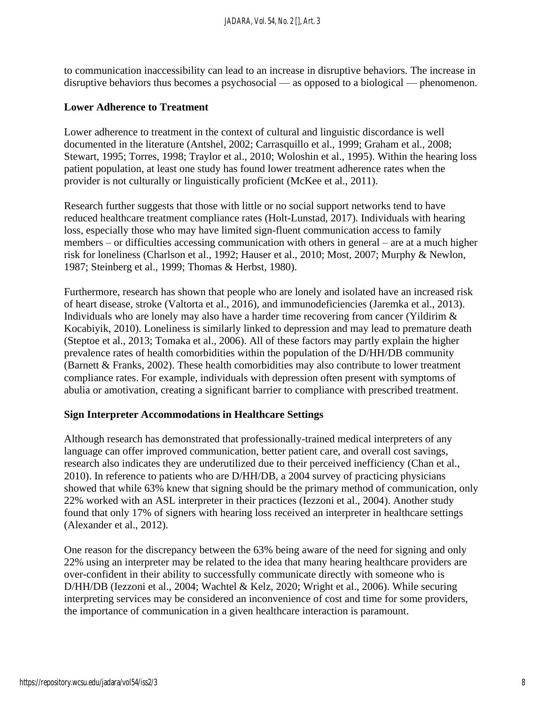to communication inaccessibility can lead to an increase in disruptive behaviors. The increase in disruptive behaviors thus becomes a psychosocial — as opposed to a biological — phenomenon.

#### **Lower Adherence to Treatment**

Lower adherence to treatment in the context of cultural and linguistic discordance is well documented in the literature (Antshel, 2002; Carrasquillo et al., 1999; Graham et al., 2008; Stewart, 1995; Torres, 1998; Traylor et al., 2010; Woloshin et al., 1995). Within the hearing loss patient population, at least one study has found lower treatment adherence rates when the provider is not culturally or linguistically proficient (McKee et al., 2011).

Research further suggests that those with little or no social support networks tend to have reduced healthcare treatment compliance rates (Holt-Lunstad, 2017). Individuals with hearing loss, especially those who may have limited sign-fluent communication access to family members – or difficulties accessing communication with others in general – are at a much higher risk for loneliness (Charlson et al., 1992; Hauser et al., 2010; Most, 2007; Murphy & Newlon, 1987; Steinberg et al., 1999; Thomas & Herbst, 1980).

Furthermore, research has shown that people who are lonely and isolated have an increased risk of heart disease, stroke (Valtorta et al., 2016), and immunodeficiencies (Jaremka et al., 2013). Individuals who are lonely may also have a harder time recovering from cancer (Yildirim & Kocabiyik, 2010). Loneliness is similarly linked to depression and may lead to premature death (Steptoe et al., 2013; Tomaka et al., 2006). All of these factors may partly explain the higher prevalence rates of health comorbidities within the population of the D/HH/DB community (Barnett & Franks, 2002). These health comorbidities may also contribute to lower treatment compliance rates. For example, individuals with depression often present with symptoms of abulia or amotivation, creating a significant barrier to compliance with prescribed treatment.

#### **Sign Interpreter Accommodations in Healthcare Settings**

Although research has demonstrated that professionally-trained medical interpreters of any language can offer improved communication, better patient care, and overall cost savings, research also indicates they are underutilized due to their perceived inefficiency (Chan et al., 2010). In reference to patients who are D/HH/DB, a 2004 survey of practicing physicians showed that while 63% knew that signing should be the primary method of communication, only 22% worked with an ASL interpreter in their practices (Iezzoni et al., 2004). Another study found that only 17% of signers with hearing loss received an interpreter in healthcare settings (Alexander et al., 2012).

One reason for the discrepancy between the 63% being aware of the need for signing and only 22% using an interpreter may be related to the idea that many hearing healthcare providers are over-confident in their ability to successfully communicate directly with someone who is D/HH/DB (Iezzoni et al., 2004; Wachtel & Kelz, 2020; Wright et al., 2006). While securing interpreting services may be considered an inconvenience of cost and time for some providers, the importance of communication in a given healthcare interaction is paramount.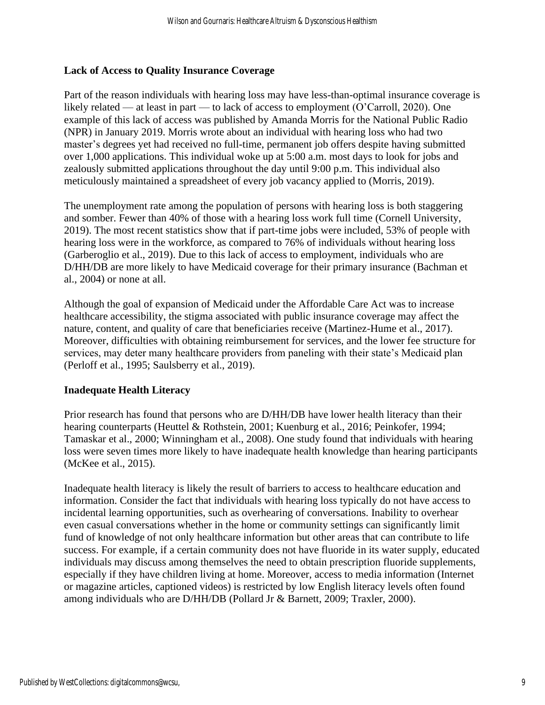#### **Lack of Access to Quality Insurance Coverage**

Part of the reason individuals with hearing loss may have less-than-optimal insurance coverage is likely related — at least in part — to lack of access to employment (O'Carroll, 2020). One example of this lack of access was published by Amanda Morris for the National Public Radio (NPR) in January 2019. Morris wrote about an individual with hearing loss who had two master's degrees yet had received no full-time, permanent job offers despite having submitted over 1,000 applications. This individual woke up at 5:00 a.m. most days to look for jobs and zealously submitted applications throughout the day until 9:00 p.m. This individual also meticulously maintained a spreadsheet of every job vacancy applied to (Morris, 2019).

The unemployment rate among the population of persons with hearing loss is both staggering and somber. Fewer than 40% of those with a hearing loss work full time (Cornell University, 2019). The most recent statistics show that if part-time jobs were included, 53% of people with hearing loss were in the workforce, as compared to 76% of individuals without hearing loss (Garberoglio et al., 2019). Due to this lack of access to employment, individuals who are D/HH/DB are more likely to have Medicaid coverage for their primary insurance (Bachman et al., 2004) or none at all.

Although the goal of expansion of Medicaid under the Affordable Care Act was to increase healthcare accessibility, the stigma associated with public insurance coverage may affect the nature, content, and quality of care that beneficiaries receive (Martinez-Hume et al., 2017). Moreover, difficulties with obtaining reimbursement for services, and the lower fee structure for services, may deter many healthcare providers from paneling with their state's Medicaid plan (Perloff et al., 1995; Saulsberry et al., 2019).

#### **Inadequate Health Literacy**

Prior research has found that persons who are D/HH/DB have lower health literacy than their hearing counterparts (Heuttel & Rothstein, 2001; Kuenburg et al., 2016; Peinkofer, 1994; Tamaskar et al., 2000; Winningham et al., 2008). One study found that individuals with hearing loss were seven times more likely to have inadequate health knowledge than hearing participants (McKee et al., 2015).

Inadequate health literacy is likely the result of barriers to access to healthcare education and information. Consider the fact that individuals with hearing loss typically do not have access to incidental learning opportunities, such as overhearing of conversations. Inability to overhear even casual conversations whether in the home or community settings can significantly limit fund of knowledge of not only healthcare information but other areas that can contribute to life success. For example, if a certain community does not have fluoride in its water supply, educated individuals may discuss among themselves the need to obtain prescription fluoride supplements, especially if they have children living at home. Moreover, access to media information (Internet or magazine articles, captioned videos) is restricted by low English literacy levels often found among individuals who are D/HH/DB (Pollard Jr & Barnett, 2009; Traxler, 2000).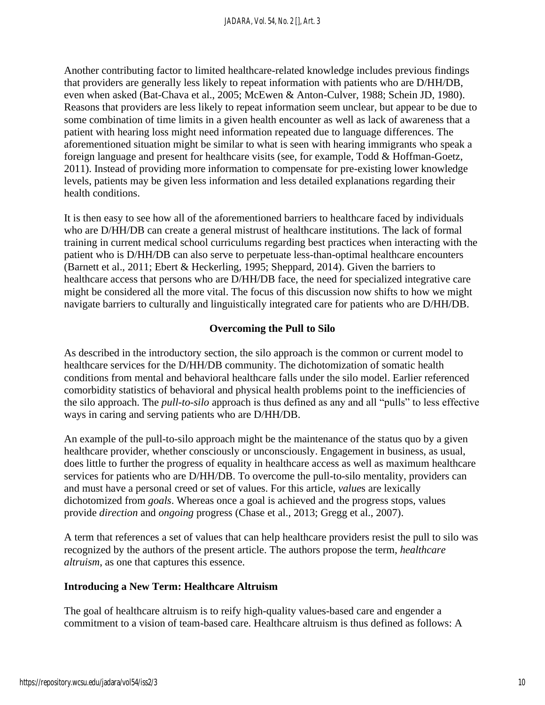Another contributing factor to limited healthcare-related knowledge includes previous findings that providers are generally less likely to repeat information with patients who are D/HH/DB, even when asked (Bat-Chava et al., 2005; McEwen & Anton-Culver, 1988; Schein JD, 1980). Reasons that providers are less likely to repeat information seem unclear, but appear to be due to some combination of time limits in a given health encounter as well as lack of awareness that a patient with hearing loss might need information repeated due to language differences. The aforementioned situation might be similar to what is seen with hearing immigrants who speak a foreign language and present for healthcare visits (see, for example, Todd & Hoffman-Goetz, 2011). Instead of providing more information to compensate for pre-existing lower knowledge levels, patients may be given less information and less detailed explanations regarding their health conditions.

It is then easy to see how all of the aforementioned barriers to healthcare faced by individuals who are D/HH/DB can create a general mistrust of healthcare institutions. The lack of formal training in current medical school curriculums regarding best practices when interacting with the patient who is D/HH/DB can also serve to perpetuate less-than-optimal healthcare encounters (Barnett et al., 2011; Ebert & Heckerling, 1995; Sheppard, 2014). Given the barriers to healthcare access that persons who are D/HH/DB face, the need for specialized integrative care might be considered all the more vital. The focus of this discussion now shifts to how we might navigate barriers to culturally and linguistically integrated care for patients who are D/HH/DB.

#### **Overcoming the Pull to Silo**

As described in the introductory section, the silo approach is the common or current model to healthcare services for the D/HH/DB community. The dichotomization of somatic health conditions from mental and behavioral healthcare falls under the silo model. Earlier referenced comorbidity statistics of behavioral and physical health problems point to the inefficiencies of the silo approach. The *pull-to-silo* approach is thus defined as any and all "pulls" to less effective ways in caring and serving patients who are D/HH/DB.

An example of the pull-to-silo approach might be the maintenance of the status quo by a given healthcare provider, whether consciously or unconsciously. Engagement in business, as usual, does little to further the progress of equality in healthcare access as well as maximum healthcare services for patients who are D/HH/DB. To overcome the pull-to-silo mentality, providers can and must have a personal creed or set of values. For this article, *value*s are lexically dichotomized from *goals*. Whereas once a goal is achieved and the progress stops, values provide *direction* and *ongoing* progress (Chase et al., 2013; Gregg et al., 2007).

A term that references a set of values that can help healthcare providers resist the pull to silo was recognized by the authors of the present article. The authors propose the term, *healthcare altruism*, as one that captures this essence.

#### **Introducing a New Term: Healthcare Altruism**

The goal of healthcare altruism is to reify high-quality values-based care and engender a commitment to a vision of team-based care. Healthcare altruism is thus defined as follows: A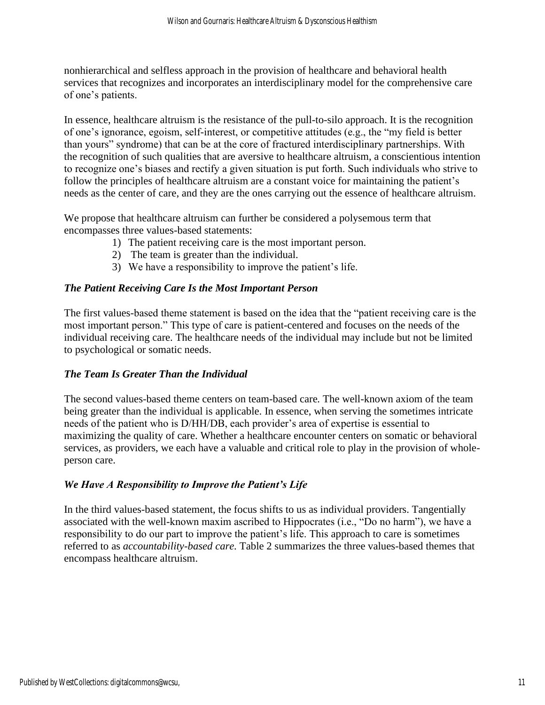nonhierarchical and selfless approach in the provision of healthcare and behavioral health services that recognizes and incorporates an interdisciplinary model for the comprehensive care of one's patients.

In essence, healthcare altruism is the resistance of the pull-to-silo approach. It is the recognition of one's ignorance, egoism, self-interest, or competitive attitudes (e.g., the "my field is better than yours" syndrome) that can be at the core of fractured interdisciplinary partnerships. With the recognition of such qualities that are aversive to healthcare altruism, a conscientious intention to recognize one's biases and rectify a given situation is put forth. Such individuals who strive to follow the principles of healthcare altruism are a constant voice for maintaining the patient's needs as the center of care, and they are the ones carrying out the essence of healthcare altruism.

We propose that healthcare altruism can further be considered a polysemous term that encompasses three values-based statements:

- 1) The patient receiving care is the most important person.
- 2) The team is greater than the individual.
- 3) We have a responsibility to improve the patient's life.

#### *The Patient Receiving Care Is the Most Important Person*

The first values-based theme statement is based on the idea that the "patient receiving care is the most important person." This type of care is patient-centered and focuses on the needs of the individual receiving care. The healthcare needs of the individual may include but not be limited to psychological or somatic needs.

#### *The Team Is Greater Than the Individual*

The second values-based theme centers on team-based care*.* The well-known axiom of the team being greater than the individual is applicable. In essence, when serving the sometimes intricate needs of the patient who is D/HH/DB, each provider's area of expertise is essential to maximizing the quality of care. Whether a healthcare encounter centers on somatic or behavioral services, as providers, we each have a valuable and critical role to play in the provision of wholeperson care.

## *We Have A Responsibility to Improve the Patient's Life*

In the third values-based statement, the focus shifts to us as individual providers. Tangentially associated with the well-known maxim ascribed to Hippocrates (i.e., "Do no harm"), we have a responsibility to do our part to improve the patient's life. This approach to care is sometimes referred to as *accountability-based care.* Table 2 summarizes the three values-based themes that encompass healthcare altruism.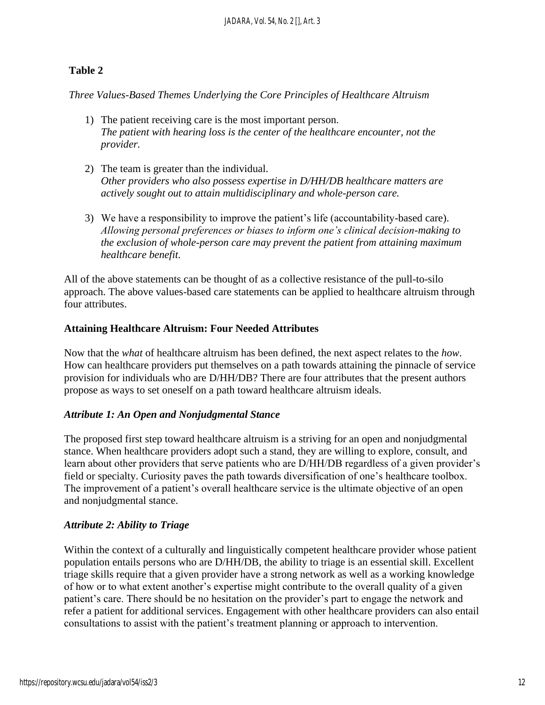## **Table 2**

*Three Values-Based Themes Underlying the Core Principles of Healthcare Altruism*

- 1) The patient receiving care is the most important person. *The patient with hearing loss is the center of the healthcare encounter, not the provider.*
- 2) The team is greater than the individual. *Other providers who also possess expertise in D/HH/DB healthcare matters are actively sought out to attain multidisciplinary and whole-person care.*
- 3) We have a responsibility to improve the patient's life (accountability-based care). *Allowing personal preferences or biases to inform one's clinical decision-making to the exclusion of whole-person care may prevent the patient from attaining maximum healthcare benefit.*

All of the above statements can be thought of as a collective resistance of the pull-to-silo approach. The above values-based care statements can be applied to healthcare altruism through four attributes.

#### **Attaining Healthcare Altruism: Four Needed Attributes**

Now that the *what* of healthcare altruism has been defined, the next aspect relates to the *how*. How can healthcare providers put themselves on a path towards attaining the pinnacle of service provision for individuals who are D/HH/DB? There are four attributes that the present authors propose as ways to set oneself on a path toward healthcare altruism ideals.

#### *Attribute 1: An Open and Nonjudgmental Stance*

The proposed first step toward healthcare altruism is a striving for an open and nonjudgmental stance. When healthcare providers adopt such a stand, they are willing to explore, consult, and learn about other providers that serve patients who are D/HH/DB regardless of a given provider's field or specialty. Curiosity paves the path towards diversification of one's healthcare toolbox. The improvement of a patient's overall healthcare service is the ultimate objective of an open and nonjudgmental stance.

#### *Attribute 2: Ability to Triage*

Within the context of a culturally and linguistically competent healthcare provider whose patient population entails persons who are D/HH/DB, the ability to triage is an essential skill. Excellent triage skills require that a given provider have a strong network as well as a working knowledge of how or to what extent another's expertise might contribute to the overall quality of a given patient's care. There should be no hesitation on the provider's part to engage the network and refer a patient for additional services. Engagement with other healthcare providers can also entail consultations to assist with the patient's treatment planning or approach to intervention.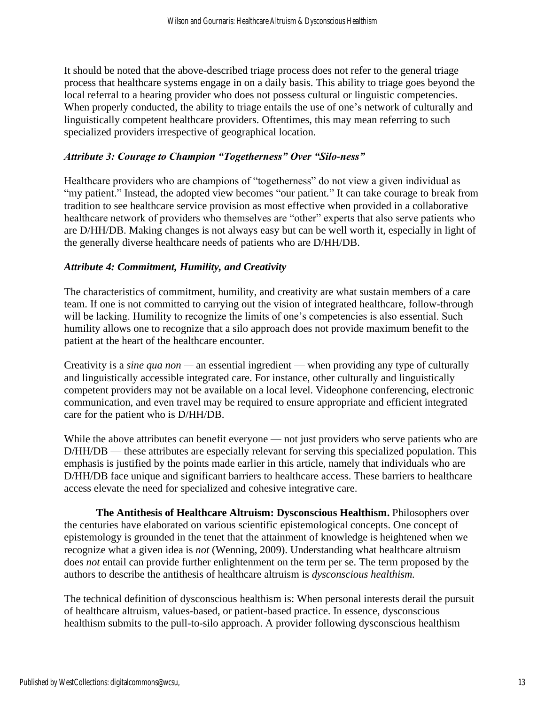It should be noted that the above-described triage process does not refer to the general triage process that healthcare systems engage in on a daily basis. This ability to triage goes beyond the local referral to a hearing provider who does not possess cultural or linguistic competencies. When properly conducted, the ability to triage entails the use of one's network of culturally and linguistically competent healthcare providers. Oftentimes, this may mean referring to such specialized providers irrespective of geographical location.

#### *Attribute 3: Courage to Champion "Togetherness" Over "Silo-ness"*

Healthcare providers who are champions of "togetherness" do not view a given individual as "my patient." Instead, the adopted view becomes "our patient*.*" It can take courage to break from tradition to see healthcare service provision as most effective when provided in a collaborative healthcare network of providers who themselves are "other" experts that also serve patients who are D/HH/DB. Making changes is not always easy but can be well worth it, especially in light of the generally diverse healthcare needs of patients who are D/HH/DB.

#### *Attribute 4: Commitment, Humility, and Creativity*

The characteristics of commitment, humility, and creativity are what sustain members of a care team. If one is not committed to carrying out the vision of integrated healthcare, follow-through will be lacking. Humility to recognize the limits of one's competencies is also essential. Such humility allows one to recognize that a silo approach does not provide maximum benefit to the patient at the heart of the healthcare encounter.

Creativity is a *sine qua non —* an essential ingredient — when providing any type of culturally and linguistically accessible integrated care. For instance, other culturally and linguistically competent providers may not be available on a local level. Videophone conferencing, electronic communication, and even travel may be required to ensure appropriate and efficient integrated care for the patient who is D/HH/DB.

While the above attributes can benefit everyone — not just providers who serve patients who are D/HH/DB — these attributes are especially relevant for serving this specialized population. This emphasis is justified by the points made earlier in this article, namely that individuals who are D/HH/DB face unique and significant barriers to healthcare access. These barriers to healthcare access elevate the need for specialized and cohesive integrative care.

**The Antithesis of Healthcare Altruism: Dysconscious Healthism.** Philosophers over the centuries have elaborated on various scientific epistemological concepts. One concept of epistemology is grounded in the tenet that the attainment of knowledge is heightened when we recognize what a given idea is *not* (Wenning, 2009). Understanding what healthcare altruism does *not* entail can provide further enlightenment on the term per se. The term proposed by the authors to describe the antithesis of healthcare altruism is *dysconscious healthism.* 

The technical definition of dysconscious healthism is: When personal interests derail the pursuit of healthcare altruism, values-based, or patient-based practice. In essence, dysconscious healthism submits to the pull-to-silo approach. A provider following dysconscious healthism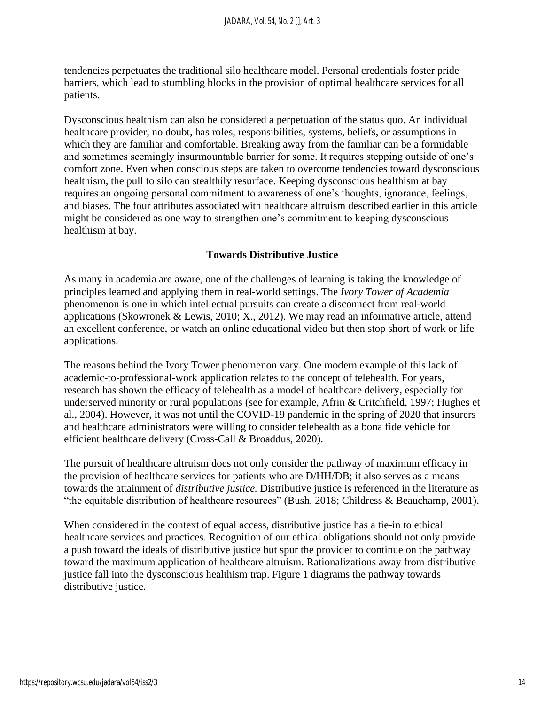tendencies perpetuates the traditional silo healthcare model. Personal credentials foster pride barriers, which lead to stumbling blocks in the provision of optimal healthcare services for all patients.

Dysconscious healthism can also be considered a perpetuation of the status quo. An individual healthcare provider, no doubt, has roles, responsibilities, systems, beliefs, or assumptions in which they are familiar and comfortable. Breaking away from the familiar can be a formidable and sometimes seemingly insurmountable barrier for some. It requires stepping outside of one's comfort zone. Even when conscious steps are taken to overcome tendencies toward dysconscious healthism, the pull to silo can stealthily resurface. Keeping dysconscious healthism at bay requires an ongoing personal commitment to awareness of one's thoughts, ignorance, feelings, and biases. The four attributes associated with healthcare altruism described earlier in this article might be considered as one way to strengthen one's commitment to keeping dysconscious healthism at bay.

#### **Towards Distributive Justice**

As many in academia are aware, one of the challenges of learning is taking the knowledge of principles learned and applying them in real-world settings. The *Ivory Tower of Academia* phenomenon is one in which intellectual pursuits can create a disconnect from real-world applications (Skowronek & Lewis, 2010; X., 2012). We may read an informative article, attend an excellent conference, or watch an online educational video but then stop short of work or life applications.

The reasons behind the Ivory Tower phenomenon vary. One modern example of this lack of academic-to-professional-work application relates to the concept of telehealth. For years, research has shown the efficacy of telehealth as a model of healthcare delivery, especially for underserved minority or rural populations (see for example, Afrin & Critchfield, 1997; Hughes et al., 2004). However, it was not until the COVID-19 pandemic in the spring of 2020 that insurers and healthcare administrators were willing to consider telehealth as a bona fide vehicle for efficient healthcare delivery (Cross-Call & Broaddus, 2020).

The pursuit of healthcare altruism does not only consider the pathway of maximum efficacy in the provision of healthcare services for patients who are D/HH/DB; it also serves as a means towards the attainment of *distributive justice.* Distributive justice is referenced in the literature as "the equitable distribution of healthcare resources" (Bush, 2018; Childress & Beauchamp, 2001).

When considered in the context of equal access, distributive justice has a tie-in to ethical healthcare services and practices. Recognition of our ethical obligations should not only provide a push toward the ideals of distributive justice but spur the provider to continue on the pathway toward the maximum application of healthcare altruism. Rationalizations away from distributive justice fall into the dysconscious healthism trap. Figure 1 diagrams the pathway towards distributive justice.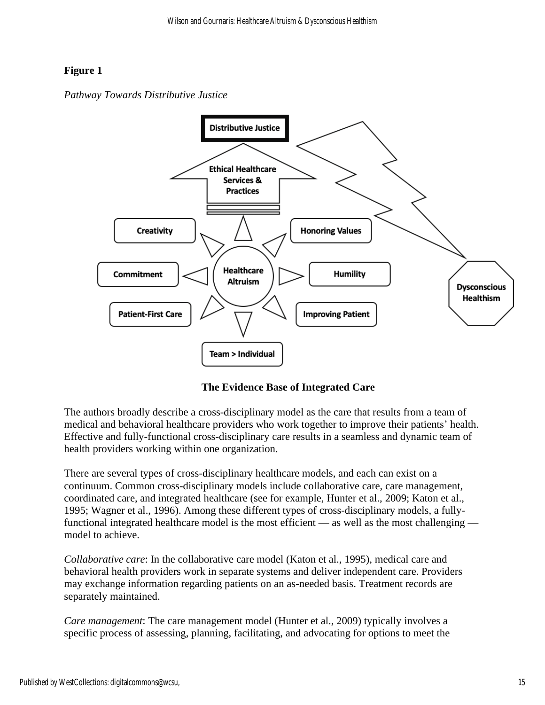# **Figure 1**





**The Evidence Base of Integrated Care**

The authors broadly describe a cross-disciplinary model as the care that results from a team of medical and behavioral healthcare providers who work together to improve their patients' health. Effective and fully-functional cross-disciplinary care results in a seamless and dynamic team of health providers working within one organization.

There are several types of cross-disciplinary healthcare models, and each can exist on a continuum. Common cross-disciplinary models include collaborative care, care management, coordinated care, and integrated healthcare (see for example, Hunter et al., 2009; Katon et al., 1995; Wagner et al., 1996). Among these different types of cross-disciplinary models, a fullyfunctional integrated healthcare model is the most efficient — as well as the most challenging model to achieve.

*Collaborative care*: In the collaborative care model (Katon et al., 1995), medical care and behavioral health providers work in separate systems and deliver independent care. Providers may exchange information regarding patients on an as-needed basis. Treatment records are separately maintained.

*Care management*: The care management model (Hunter et al., 2009) typically involves a specific process of assessing, planning, facilitating, and advocating for options to meet the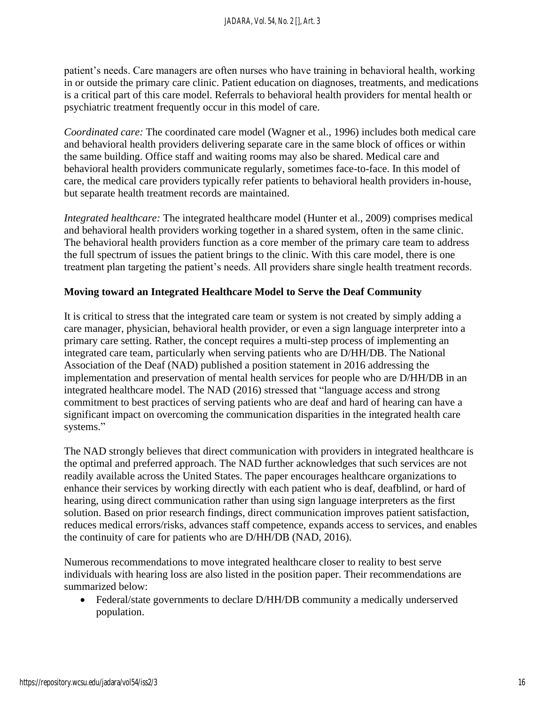patient's needs. Care managers are often nurses who have training in behavioral health, working in or outside the primary care clinic. Patient education on diagnoses, treatments, and medications is a critical part of this care model. Referrals to behavioral health providers for mental health or psychiatric treatment frequently occur in this model of care.

*Coordinated care:* The coordinated care model (Wagner et al., 1996) includes both medical care and behavioral health providers delivering separate care in the same block of offices or within the same building. Office staff and waiting rooms may also be shared. Medical care and behavioral health providers communicate regularly, sometimes face-to-face. In this model of care, the medical care providers typically refer patients to behavioral health providers in-house, but separate health treatment records are maintained.

*Integrated healthcare:* The integrated healthcare model (Hunter et al., 2009) comprises medical and behavioral health providers working together in a shared system, often in the same clinic. The behavioral health providers function as a core member of the primary care team to address the full spectrum of issues the patient brings to the clinic. With this care model, there is one treatment plan targeting the patient's needs. All providers share single health treatment records.

## **Moving toward an Integrated Healthcare Model to Serve the Deaf Community**

It is critical to stress that the integrated care team or system is not created by simply adding a care manager, physician, behavioral health provider, or even a sign language interpreter into a primary care setting. Rather, the concept requires a multi-step process of implementing an integrated care team, particularly when serving patients who are D/HH/DB. The National Association of the Deaf (NAD) published a position statement in 2016 addressing the implementation and preservation of mental health services for people who are D/HH/DB in an integrated healthcare model. The NAD (2016) stressed that "language access and strong commitment to best practices of serving patients who are deaf and hard of hearing can have a significant impact on overcoming the communication disparities in the integrated health care systems."

The NAD strongly believes that direct communication with providers in integrated healthcare is the optimal and preferred approach. The NAD further acknowledges that such services are not readily available across the United States. The paper encourages healthcare organizations to enhance their services by working directly with each patient who is deaf, deafblind, or hard of hearing, using direct communication rather than using sign language interpreters as the first solution. Based on prior research findings, direct communication improves patient satisfaction, reduces medical errors/risks, advances staff competence, expands access to services, and enables the continuity of care for patients who are D/HH/DB (NAD, 2016).

Numerous recommendations to move integrated healthcare closer to reality to best serve individuals with hearing loss are also listed in the position paper. Their recommendations are summarized below:

• Federal/state governments to declare D/HH/DB community a medically underserved population.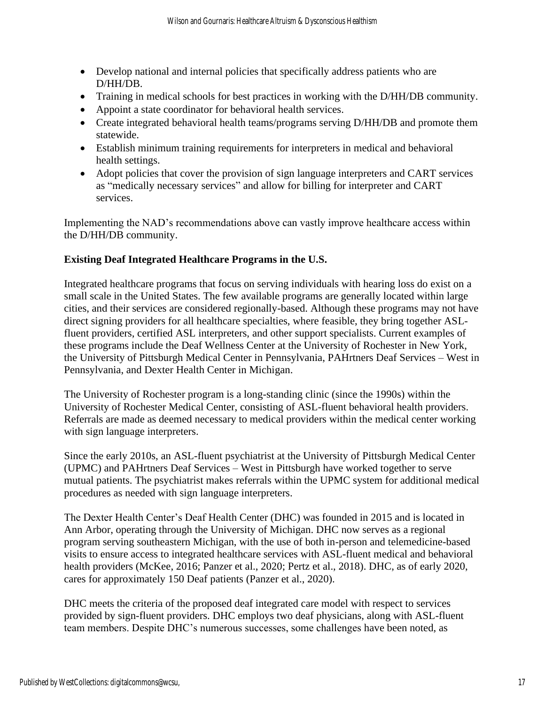- Develop national and internal policies that specifically address patients who are D/HH/DB.
- Training in medical schools for best practices in working with the D/HH/DB community.
- Appoint a state coordinator for behavioral health services.
- Create integrated behavioral health teams/programs serving D/HH/DB and promote them statewide.
- Establish minimum training requirements for interpreters in medical and behavioral health settings.
- Adopt policies that cover the provision of sign language interpreters and CART services as "medically necessary services" and allow for billing for interpreter and CART services.

Implementing the NAD's recommendations above can vastly improve healthcare access within the D/HH/DB community.

## **Existing Deaf Integrated Healthcare Programs in the U.S.**

Integrated healthcare programs that focus on serving individuals with hearing loss do exist on a small scale in the United States. The few available programs are generally located within large cities, and their services are considered regionally-based. Although these programs may not have direct signing providers for all healthcare specialties, where feasible, they bring together ASLfluent providers, certified ASL interpreters, and other support specialists. Current examples of these programs include the Deaf Wellness Center at the University of Rochester in New York, the University of Pittsburgh Medical Center in Pennsylvania, PAHrtners Deaf Services – West in Pennsylvania, and Dexter Health Center in Michigan.

The University of Rochester program is a long-standing clinic (since the 1990s) within the University of Rochester Medical Center, consisting of ASL-fluent behavioral health providers. Referrals are made as deemed necessary to medical providers within the medical center working with sign language interpreters.

Since the early 2010s, an ASL-fluent psychiatrist at the University of Pittsburgh Medical Center (UPMC) and PAHrtners Deaf Services – West in Pittsburgh have worked together to serve mutual patients. The psychiatrist makes referrals within the UPMC system for additional medical procedures as needed with sign language interpreters.

The Dexter Health Center's Deaf Health Center (DHC) was founded in 2015 and is located in Ann Arbor, operating through the University of Michigan. DHC now serves as a regional program serving southeastern Michigan, with the use of both in-person and telemedicine-based visits to ensure access to integrated healthcare services with ASL-fluent medical and behavioral health providers (McKee, 2016; Panzer et al., 2020; Pertz et al., 2018). DHC, as of early 2020, cares for approximately 150 Deaf patients (Panzer et al., 2020).

DHC meets the criteria of the proposed deaf integrated care model with respect to services provided by sign-fluent providers. DHC employs two deaf physicians, along with ASL-fluent team members. Despite DHC's numerous successes, some challenges have been noted, as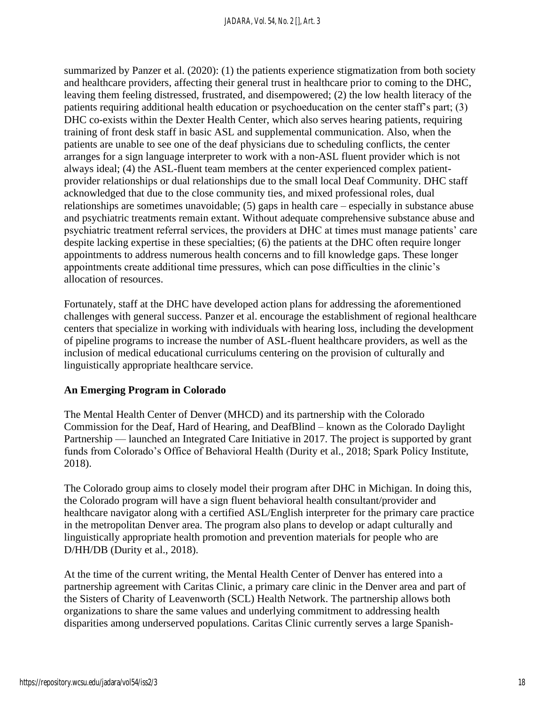summarized by Panzer et al. (2020): (1) the patients experience stigmatization from both society and healthcare providers, affecting their general trust in healthcare prior to coming to the DHC, leaving them feeling distressed, frustrated, and disempowered; (2) the low health literacy of the patients requiring additional health education or psychoeducation on the center staff's part; (3) DHC co-exists within the Dexter Health Center, which also serves hearing patients, requiring training of front desk staff in basic ASL and supplemental communication. Also, when the patients are unable to see one of the deaf physicians due to scheduling conflicts, the center arranges for a sign language interpreter to work with a non-ASL fluent provider which is not always ideal; (4) the ASL-fluent team members at the center experienced complex patientprovider relationships or dual relationships due to the small local Deaf Community. DHC staff acknowledged that due to the close community ties, and mixed professional roles, dual relationships are sometimes unavoidable; (5) gaps in health care – especially in substance abuse and psychiatric treatments remain extant. Without adequate comprehensive substance abuse and psychiatric treatment referral services, the providers at DHC at times must manage patients' care despite lacking expertise in these specialties; (6) the patients at the DHC often require longer appointments to address numerous health concerns and to fill knowledge gaps. These longer appointments create additional time pressures, which can pose difficulties in the clinic's allocation of resources.

Fortunately, staff at the DHC have developed action plans for addressing the aforementioned challenges with general success. Panzer et al. encourage the establishment of regional healthcare centers that specialize in working with individuals with hearing loss, including the development of pipeline programs to increase the number of ASL-fluent healthcare providers, as well as the inclusion of medical educational curriculums centering on the provision of culturally and linguistically appropriate healthcare service.

#### **An Emerging Program in Colorado**

The Mental Health Center of Denver (MHCD) and its partnership with the Colorado Commission for the Deaf, Hard of Hearing, and DeafBlind – known as the Colorado Daylight Partnership — launched an Integrated Care Initiative in 2017. The project is supported by grant funds from Colorado's Office of Behavioral Health (Durity et al., 2018; Spark Policy Institute, 2018).

The Colorado group aims to closely model their program after DHC in Michigan. In doing this, the Colorado program will have a sign fluent behavioral health consultant/provider and healthcare navigator along with a certified ASL/English interpreter for the primary care practice in the metropolitan Denver area. The program also plans to develop or adapt culturally and linguistically appropriate health promotion and prevention materials for people who are D/HH/DB (Durity et al., 2018).

At the time of the current writing, the Mental Health Center of Denver has entered into a partnership agreement with Caritas Clinic, a primary care clinic in the Denver area and part of the Sisters of Charity of Leavenworth (SCL) Health Network. The partnership allows both organizations to share the same values and underlying commitment to addressing health disparities among underserved populations. Caritas Clinic currently serves a large Spanish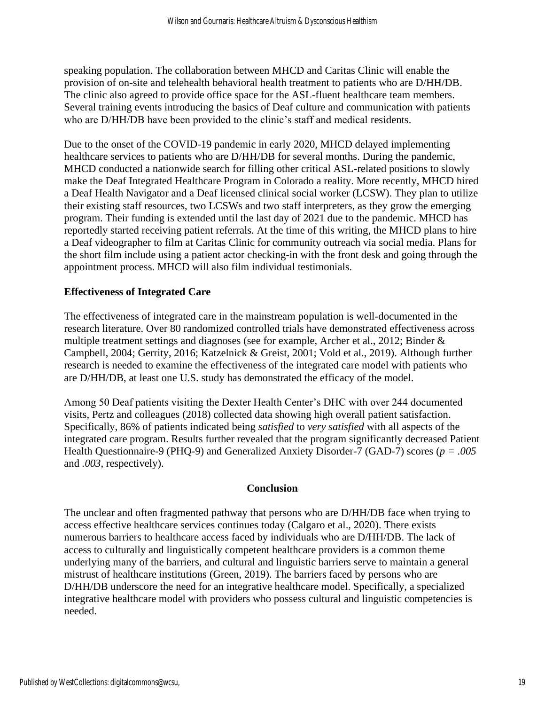speaking population. The collaboration between MHCD and Caritas Clinic will enable the provision of on-site and telehealth behavioral health treatment to patients who are D/HH/DB. The clinic also agreed to provide office space for the ASL-fluent healthcare team members. Several training events introducing the basics of Deaf culture and communication with patients who are D/HH/DB have been provided to the clinic's staff and medical residents.

Due to the onset of the COVID-19 pandemic in early 2020, MHCD delayed implementing healthcare services to patients who are D/HH/DB for several months. During the pandemic, MHCD conducted a nationwide search for filling other critical ASL-related positions to slowly make the Deaf Integrated Healthcare Program in Colorado a reality. More recently, MHCD hired a Deaf Health Navigator and a Deaf licensed clinical social worker (LCSW). They plan to utilize their existing staff resources, two LCSWs and two staff interpreters, as they grow the emerging program. Their funding is extended until the last day of 2021 due to the pandemic. MHCD has reportedly started receiving patient referrals. At the time of this writing, the MHCD plans to hire a Deaf videographer to film at Caritas Clinic for community outreach via social media. Plans for the short film include using a patient actor checking-in with the front desk and going through the appointment process. MHCD will also film individual testimonials.

#### **Effectiveness of Integrated Care**

The effectiveness of integrated care in the mainstream population is well-documented in the research literature. Over 80 randomized controlled trials have demonstrated effectiveness across multiple treatment settings and diagnoses (see for example, Archer et al., 2012; Binder & Campbell, 2004; Gerrity, 2016; Katzelnick & Greist, 2001; Vold et al., 2019). Although further research is needed to examine the effectiveness of the integrated care model with patients who are D/HH/DB, at least one U.S. study has demonstrated the efficacy of the model.

Among 50 Deaf patients visiting the Dexter Health Center's DHC with over 244 documented visits, Pertz and colleagues (2018) collected data showing high overall patient satisfaction. Specifically, 86% of patients indicated being *satisfied* to *very satisfied* with all aspects of the integrated care program. Results further revealed that the program significantly decreased Patient Health Questionnaire-9 (PHQ-9) and Generalized Anxiety Disorder-7 (GAD-7) scores (*p = .005*  and *.003*, respectively).

#### **Conclusion**

The unclear and often fragmented pathway that persons who are D/HH/DB face when trying to access effective healthcare services continues today (Calgaro et al., 2020). There exists numerous barriers to healthcare access faced by individuals who are D/HH/DB. The lack of access to culturally and linguistically competent healthcare providers is a common theme underlying many of the barriers, and cultural and linguistic barriers serve to maintain a general mistrust of healthcare institutions (Green, 2019). The barriers faced by persons who are D/HH/DB underscore the need for an integrative healthcare model. Specifically, a specialized integrative healthcare model with providers who possess cultural and linguistic competencies is needed.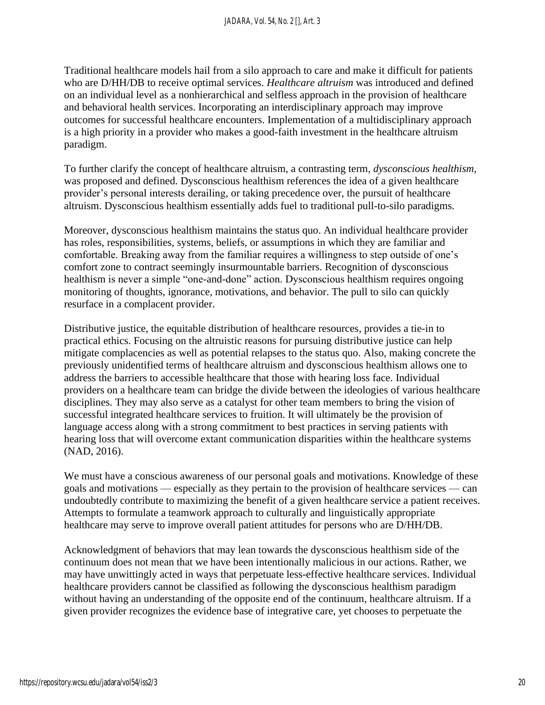Traditional healthcare models hail from a silo approach to care and make it difficult for patients who are D/HH/DB to receive optimal services. *Healthcare altruism* was introduced and defined on an individual level as a nonhierarchical and selfless approach in the provision of healthcare and behavioral health services. Incorporating an interdisciplinary approach may improve outcomes for successful healthcare encounters. Implementation of a multidisciplinary approach is a high priority in a provider who makes a good-faith investment in the healthcare altruism paradigm.

To further clarify the concept of healthcare altruism, a contrasting term, *dysconscious healthism,* was proposed and defined. Dysconscious healthism references the idea of a given healthcare provider's personal interests derailing, or taking precedence over, the pursuit of healthcare altruism. Dysconscious healthism essentially adds fuel to traditional pull-to-silo paradigms.

Moreover, dysconscious healthism maintains the status quo. An individual healthcare provider has roles, responsibilities, systems, beliefs, or assumptions in which they are familiar and comfortable. Breaking away from the familiar requires a willingness to step outside of one's comfort zone to contract seemingly insurmountable barriers. Recognition of dysconscious healthism is never a simple "one-and-done" action. Dysconscious healthism requires ongoing monitoring of thoughts, ignorance, motivations, and behavior. The pull to silo can quickly resurface in a complacent provider.

Distributive justice, the equitable distribution of healthcare resources, provides a tie-in to practical ethics. Focusing on the altruistic reasons for pursuing distributive justice can help mitigate complacencies as well as potential relapses to the status quo. Also, making concrete the previously unidentified terms of healthcare altruism and dysconscious healthism allows one to address the barriers to accessible healthcare that those with hearing loss face. Individual providers on a healthcare team can bridge the divide between the ideologies of various healthcare disciplines. They may also serve as a catalyst for other team members to bring the vision of successful integrated healthcare services to fruition. It will ultimately be the provision of language access along with a strong commitment to best practices in serving patients with hearing loss that will overcome extant communication disparities within the healthcare systems (NAD, 2016).

We must have a conscious awareness of our personal goals and motivations. Knowledge of these goals and motivations — especially as they pertain to the provision of healthcare services — can undoubtedly contribute to maximizing the benefit of a given healthcare service a patient receives. Attempts to formulate a teamwork approach to culturally and linguistically appropriate healthcare may serve to improve overall patient attitudes for persons who are D/HH/DB.

Acknowledgment of behaviors that may lean towards the dysconscious healthism side of the continuum does not mean that we have been intentionally malicious in our actions. Rather, we may have unwittingly acted in ways that perpetuate less-effective healthcare services. Individual healthcare providers cannot be classified as following the dysconscious healthism paradigm without having an understanding of the opposite end of the continuum, healthcare altruism. If a given provider recognizes the evidence base of integrative care, yet chooses to perpetuate the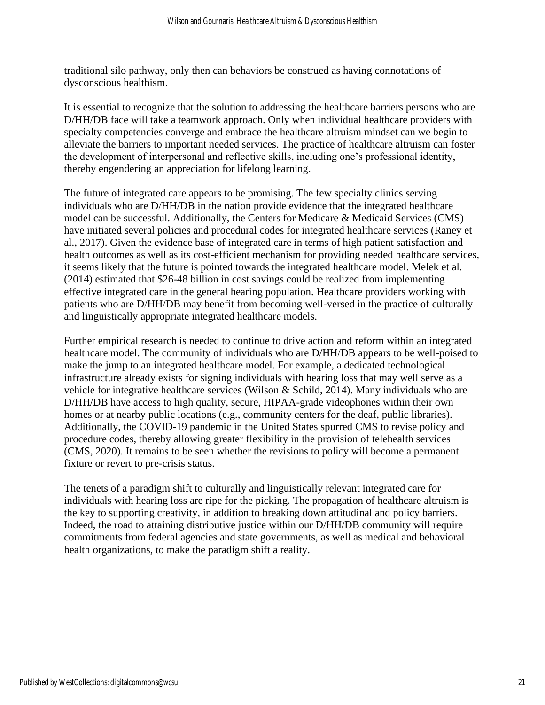traditional silo pathway, only then can behaviors be construed as having connotations of dysconscious healthism.

It is essential to recognize that the solution to addressing the healthcare barriers persons who are D/HH/DB face will take a teamwork approach. Only when individual healthcare providers with specialty competencies converge and embrace the healthcare altruism mindset can we begin to alleviate the barriers to important needed services. The practice of healthcare altruism can foster the development of interpersonal and reflective skills, including one's professional identity, thereby engendering an appreciation for lifelong learning.

The future of integrated care appears to be promising. The few specialty clinics serving individuals who are D/HH/DB in the nation provide evidence that the integrated healthcare model can be successful. Additionally, the Centers for Medicare & Medicaid Services (CMS) have initiated several policies and procedural codes for integrated healthcare services (Raney et al., 2017). Given the evidence base of integrated care in terms of high patient satisfaction and health outcomes as well as its cost-efficient mechanism for providing needed healthcare services, it seems likely that the future is pointed towards the integrated healthcare model. Melek et al. (2014) estimated that \$26-48 billion in cost savings could be realized from implementing effective integrated care in the general hearing population. Healthcare providers working with patients who are D/HH/DB may benefit from becoming well-versed in the practice of culturally and linguistically appropriate integrated healthcare models.

Further empirical research is needed to continue to drive action and reform within an integrated healthcare model. The community of individuals who are D/HH/DB appears to be well-poised to make the jump to an integrated healthcare model. For example, a dedicated technological infrastructure already exists for signing individuals with hearing loss that may well serve as a vehicle for integrative healthcare services (Wilson & Schild, 2014). Many individuals who are D/HH/DB have access to high quality, secure, HIPAA-grade videophones within their own homes or at nearby public locations (e.g., community centers for the deaf, public libraries). Additionally, the COVID-19 pandemic in the United States spurred CMS to revise policy and procedure codes, thereby allowing greater flexibility in the provision of telehealth services (CMS, 2020). It remains to be seen whether the revisions to policy will become a permanent fixture or revert to pre-crisis status.

The tenets of a paradigm shift to culturally and linguistically relevant integrated care for individuals with hearing loss are ripe for the picking. The propagation of healthcare altruism is the key to supporting creativity, in addition to breaking down attitudinal and policy barriers. Indeed, the road to attaining distributive justice within our D/HH/DB community will require commitments from federal agencies and state governments, as well as medical and behavioral health organizations, to make the paradigm shift a reality.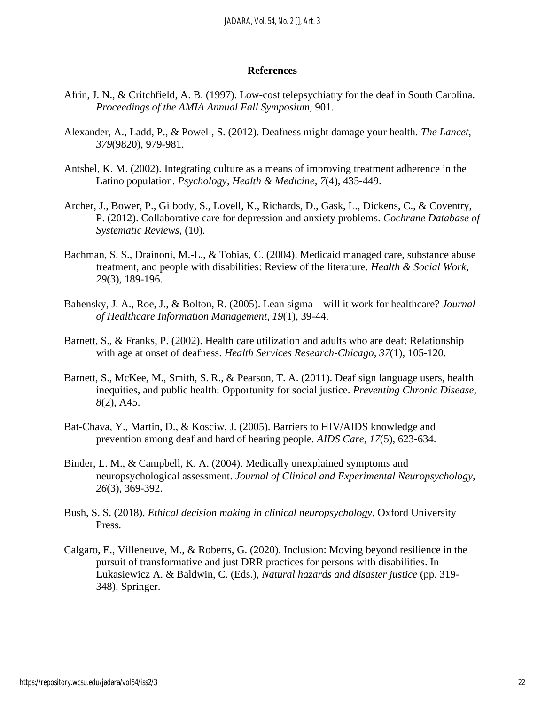#### **References**

- Afrin, J. N., & Critchfield, A. B. (1997). Low-cost telepsychiatry for the deaf in South Carolina. *Proceedings of the AMIA Annual Fall Symposium,* 901.
- Alexander, A., Ladd, P., & Powell, S. (2012). Deafness might damage your health. *The Lancet, 379*(9820), 979-981.
- Antshel, K. M. (2002). Integrating culture as a means of improving treatment adherence in the Latino population. *Psychology, Health & Medicine, 7*(4), 435-449.
- Archer, J., Bower, P., Gilbody, S., Lovell, K., Richards, D., Gask, L., Dickens, C., & Coventry, P. (2012). Collaborative care for depression and anxiety problems. *Cochrane Database of Systematic Reviews,* (10).
- Bachman, S. S., Drainoni, M.-L., & Tobias, C. (2004). Medicaid managed care, substance abuse treatment, and people with disabilities: Review of the literature. *Health & Social Work, 29*(3), 189-196.
- Bahensky, J. A., Roe, J., & Bolton, R. (2005). Lean sigma—will it work for healthcare? *Journal of Healthcare Information Management, 19*(1), 39-44.
- Barnett, S., & Franks, P. (2002). Health care utilization and adults who are deaf: Relationship with age at onset of deafness. *Health Services Research-Chicago, 37*(1), 105-120.
- Barnett, S., McKee, M., Smith, S. R., & Pearson, T. A. (2011). Deaf sign language users, health inequities, and public health: Opportunity for social justice. *Preventing Chronic Disease, 8*(2), A45.
- Bat-Chava, Y., Martin, D., & Kosciw, J. (2005). Barriers to HIV/AIDS knowledge and prevention among deaf and hard of hearing people. *AIDS Care, 17*(5), 623-634.
- Binder, L. M., & Campbell, K. A. (2004). Medically unexplained symptoms and neuropsychological assessment. *Journal of Clinical and Experimental Neuropsychology, 26*(3), 369-392.
- Bush, S. S. (2018). *Ethical decision making in clinical neuropsychology*. Oxford University Press.
- Calgaro, E., Villeneuve, M., & Roberts, G. (2020). Inclusion: Moving beyond resilience in the pursuit of transformative and just DRR practices for persons with disabilities. In Lukasiewicz A. & Baldwin, C. (Eds.), *Natural hazards and disaster justice* (pp. 319- 348). Springer.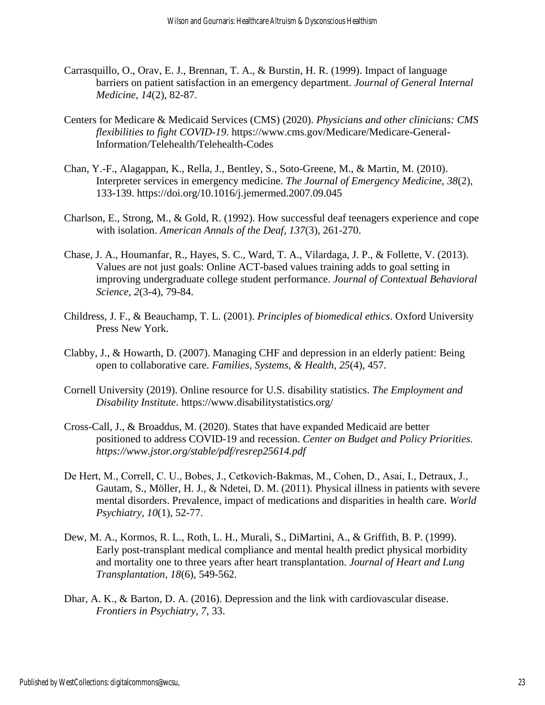- Carrasquillo, O., Orav, E. J., Brennan, T. A., & Burstin, H. R. (1999). Impact of language barriers on patient satisfaction in an emergency department. *Journal of General Internal Medicine, 14*(2), 82-87.
- Centers for Medicare & Medicaid Services (CMS) (2020). *Physicians and other clinicians: CMS flexibilities to fight COVID-19*. https://www.cms.gov/Medicare/Medicare-General-Information/Telehealth/Telehealth-Codes
- Chan, Y.-F., Alagappan, K., Rella, J., Bentley, S., Soto-Greene, M., & Martin, M. (2010). Interpreter services in emergency medicine. *The Journal of Emergency Medicine, 38*(2), 133-139. https://doi.org/10.1016/j.jemermed.2007.09.045
- Charlson, E., Strong, M., & Gold, R. (1992). How successful deaf teenagers experience and cope with isolation. *American Annals of the Deaf, 137*(3), 261-270.
- Chase, J. A., Houmanfar, R., Hayes, S. C., Ward, T. A., Vilardaga, J. P., & Follette, V. (2013). Values are not just goals: Online ACT-based values training adds to goal setting in improving undergraduate college student performance. *Journal of Contextual Behavioral Science, 2*(3-4), 79-84.
- Childress, J. F., & Beauchamp, T. L. (2001). *Principles of biomedical ethics*. Oxford University Press New York.
- Clabby, J., & Howarth, D. (2007). Managing CHF and depression in an elderly patient: Being open to collaborative care. *Families, Systems, & Health, 25*(4), 457.
- Cornell University (2019). Online resource for U.S. disability statistics. *The Employment and Disability Institute*. https://www.disabilitystatistics.org/
- Cross-Call, J., & Broaddus, M. (2020). States that have expanded Medicaid are better positioned to address COVID-19 and recession. *Center on Budget and Policy Priorities. https://www.jstor.org/stable/pdf/resrep25614.pdf*
- De Hert, M., Correll, C. U., Bobes, J., Cetkovich‐Bakmas, M., Cohen, D., Asai, I., Detraux, J., Gautam, S., Möller, H. J., & Ndetei, D. M. (2011). Physical illness in patients with severe mental disorders. Prevalence, impact of medications and disparities in health care. *World Psychiatry, 10*(1), 52-77.
- Dew, M. A., Kormos, R. L., Roth, L. H., Murali, S., DiMartini, A., & Griffith, B. P. (1999). Early post-transplant medical compliance and mental health predict physical morbidity and mortality one to three years after heart transplantation. *Journal of Heart and Lung Transplantation, 18*(6), 549-562.
- Dhar, A. K., & Barton, D. A. (2016). Depression and the link with cardiovascular disease. *Frontiers in Psychiatry, 7*, 33.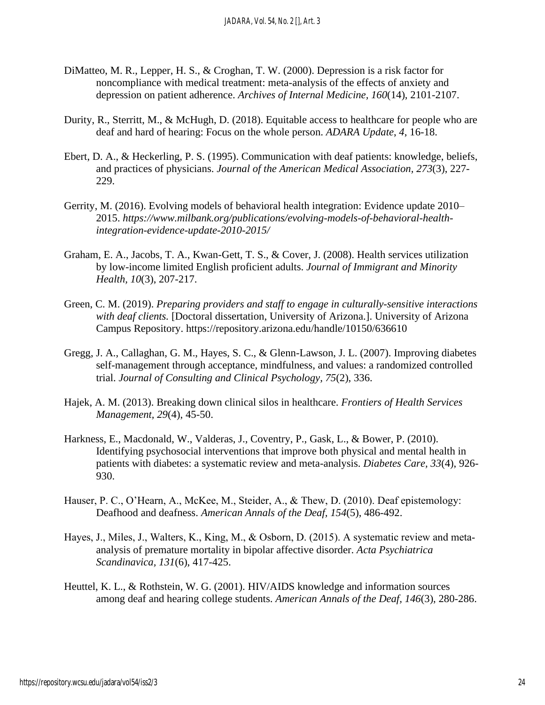- DiMatteo, M. R., Lepper, H. S., & Croghan, T. W. (2000). Depression is a risk factor for noncompliance with medical treatment: meta-analysis of the effects of anxiety and depression on patient adherence. *Archives of Internal Medicine, 160*(14), 2101-2107.
- Durity, R., Sterritt, M., & McHugh, D. (2018). Equitable access to healthcare for people who are deaf and hard of hearing: Focus on the whole person. *ADARA Update*, *4*, 16-18.
- Ebert, D. A., & Heckerling, P. S. (1995). Communication with deaf patients: knowledge, beliefs, and practices of physicians. *Journal of the American Medical Association, 273*(3), 227- 229.
- Gerrity, M. (2016). Evolving models of behavioral health integration: Evidence update 2010– 2015. *https://www.milbank.org/publications/evolving-models-of-behavioral-healthintegration-evidence-update-2010-2015/*
- Graham, E. A., Jacobs, T. A., Kwan-Gett, T. S., & Cover, J. (2008). Health services utilization by low-income limited English proficient adults. *Journal of Immigrant and Minority Health, 10*(3), 207-217.
- Green, C. M. (2019). *Preparing providers and staff to engage in culturally-sensitive interactions with deaf clients.* [Doctoral dissertation, University of Arizona.]. University of Arizona Campus Repository. https://repository.arizona.edu/handle/10150/636610
- Gregg, J. A., Callaghan, G. M., Hayes, S. C., & Glenn-Lawson, J. L. (2007). Improving diabetes self-management through acceptance, mindfulness, and values: a randomized controlled trial. *Journal of Consulting and Clinical Psychology, 75*(2), 336.
- Hajek, A. M. (2013). Breaking down clinical silos in healthcare. *Frontiers of Health Services Management, 29*(4), 45-50.
- Harkness, E., Macdonald, W., Valderas, J., Coventry, P., Gask, L., & Bower, P. (2010). Identifying psychosocial interventions that improve both physical and mental health in patients with diabetes: a systematic review and meta-analysis. *Diabetes Care, 33*(4), 926- 930.
- Hauser, P. C., O'Hearn, A., McKee, M., Steider, A., & Thew, D. (2010). Deaf epistemology: Deafhood and deafness. *American Annals of the Deaf, 154*(5), 486-492.
- Hayes, J., Miles, J., Walters, K., King, M., & Osborn, D. (2015). A systematic review and meta‐ analysis of premature mortality in bipolar affective disorder. *Acta Psychiatrica Scandinavica, 131*(6), 417-425.
- Heuttel, K. L., & Rothstein, W. G. (2001). HIV/AIDS knowledge and information sources among deaf and hearing college students. *American Annals of the Deaf, 146*(3), 280-286.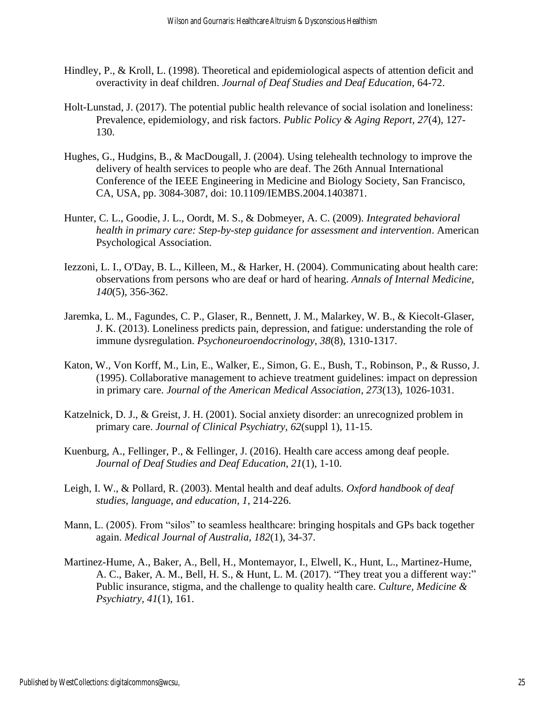- Hindley, P., & Kroll, L. (1998). Theoretical and epidemiological aspects of attention deficit and overactivity in deaf children. *Journal of Deaf Studies and Deaf Education*, 64-72.
- Holt-Lunstad, J. (2017). The potential public health relevance of social isolation and loneliness: Prevalence, epidemiology, and risk factors. *Public Policy & Aging Report, 27*(4), 127- 130.
- Hughes, G., Hudgins, B., & MacDougall, J. (2004). Using telehealth technology to improve the delivery of health services to people who are deaf. The 26th Annual International Conference of the IEEE Engineering in Medicine and Biology Society, San Francisco, CA, USA, pp. 3084-3087, doi: 10.1109/IEMBS.2004.1403871.
- Hunter, C. L., Goodie, J. L., Oordt, M. S., & Dobmeyer, A. C. (2009). *Integrated behavioral health in primary care: Step-by-step guidance for assessment and intervention*. American Psychological Association.
- Iezzoni, L. I., O'Day, B. L., Killeen, M., & Harker, H. (2004). Communicating about health care: observations from persons who are deaf or hard of hearing. *Annals of Internal Medicine, 140*(5), 356-362.
- Jaremka, L. M., Fagundes, C. P., Glaser, R., Bennett, J. M., Malarkey, W. B., & Kiecolt-Glaser, J. K. (2013). Loneliness predicts pain, depression, and fatigue: understanding the role of immune dysregulation. *Psychoneuroendocrinology, 38*(8), 1310-1317.
- Katon, W., Von Korff, M., Lin, E., Walker, E., Simon, G. E., Bush, T., Robinson, P., & Russo, J. (1995). Collaborative management to achieve treatment guidelines: impact on depression in primary care. *Journal of the American Medical Association, 273*(13), 1026-1031.
- Katzelnick, D. J., & Greist, J. H. (2001). Social anxiety disorder: an unrecognized problem in primary care. *Journal of Clinical Psychiatry, 62*(suppl 1), 11-15.
- Kuenburg, A., Fellinger, P., & Fellinger, J. (2016). Health care access among deaf people. *Journal of Deaf Studies and Deaf Education, 21*(1), 1-10.
- Leigh, I. W., & Pollard, R. (2003). Mental health and deaf adults. *Oxford handbook of deaf studies, language, and education, 1*, 214-226.
- Mann, L. (2005). From "silos" to seamless healthcare: bringing hospitals and GPs back together again. *Medical Journal of Australia, 182*(1), 34-37.
- Martinez-Hume, A., Baker, A., Bell, H., Montemayor, I., Elwell, K., Hunt, L., Martinez-Hume, A. C., Baker, A. M., Bell, H. S., & Hunt, L. M. (2017). "They treat you a different way:" Public insurance, stigma, and the challenge to quality health care. *Culture, Medicine & Psychiatry, 41*(1), 161.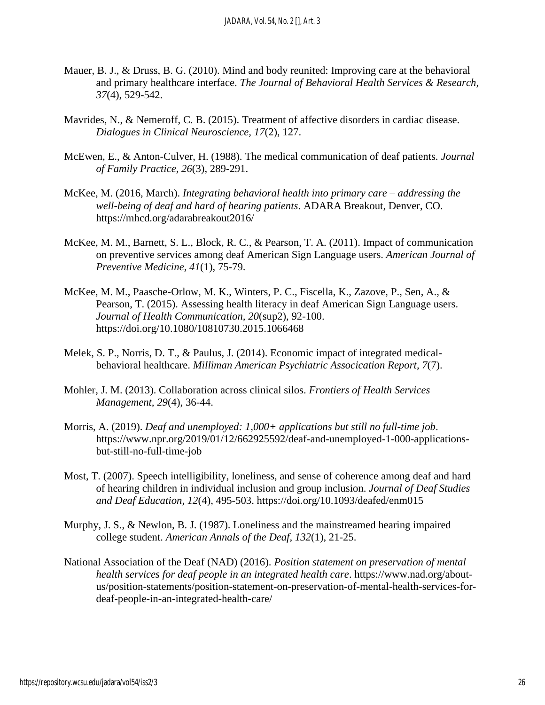- Mauer, B. J., & Druss, B. G. (2010). Mind and body reunited: Improving care at the behavioral and primary healthcare interface. *The Journal of Behavioral Health Services & Research, 37*(4), 529-542.
- Mavrides, N., & Nemeroff, C. B. (2015). Treatment of affective disorders in cardiac disease. *Dialogues in Clinical Neuroscience, 17*(2), 127.
- McEwen, E., & Anton-Culver, H. (1988). The medical communication of deaf patients. *Journal of Family Practice, 26*(3), 289-291.
- McKee, M. (2016, March). *Integrating behavioral health into primary care – addressing the well-being of deaf and hard of hearing patients*. ADARA Breakout, Denver, CO. https://mhcd.org/adarabreakout2016/
- McKee, M. M., Barnett, S. L., Block, R. C., & Pearson, T. A. (2011). Impact of communication on preventive services among deaf American Sign Language users. *American Journal of Preventive Medicine, 41*(1), 75-79.
- McKee, M. M., Paasche-Orlow, M. K., Winters, P. C., Fiscella, K., Zazove, P., Sen, A., & Pearson, T. (2015). Assessing health literacy in deaf American Sign Language users. *Journal of Health Communication, 20*(sup2), 92-100. https://doi.org/10.1080/10810730.2015.1066468
- Melek, S. P., Norris, D. T., & Paulus, J. (2014). Economic impact of integrated medicalbehavioral healthcare. *Milliman American Psychiatric Assocication Report, 7*(7).
- Mohler, J. M. (2013). Collaboration across clinical silos. *Frontiers of Health Services Management, 29*(4), 36-44.
- Morris, A. (2019). *Deaf and unemployed: 1,000+ applications but still no full-time job*. [https://www.npr.org/2019/01/12/662925592/deaf-and-unemployed-1-000-applications](https://www.npr.org/2019/01/12/662925592/deaf-and-unemployed-1-000-applications-but-still-no-full-time-job)[but-still-no-full-time-job](https://www.npr.org/2019/01/12/662925592/deaf-and-unemployed-1-000-applications-but-still-no-full-time-job)
- Most, T. (2007). Speech intelligibility, loneliness, and sense of coherence among deaf and hard of hearing children in individual inclusion and group inclusion. *Journal of Deaf Studies and Deaf Education, 12*(4), 495-503. https://doi.org/10.1093/deafed/enm015
- Murphy, J. S., & Newlon, B. J. (1987). Loneliness and the mainstreamed hearing impaired college student. *American Annals of the Deaf, 132*(1), 21-25.
- National Association of the Deaf (NAD) (2016). *Position statement on preservation of mental health services for deaf people in an integrated health care*. https://www.nad.org/aboutus/position-statements/position-statement-on-preservation-of-mental-health-services-fordeaf-people-in-an-integrated-health-care/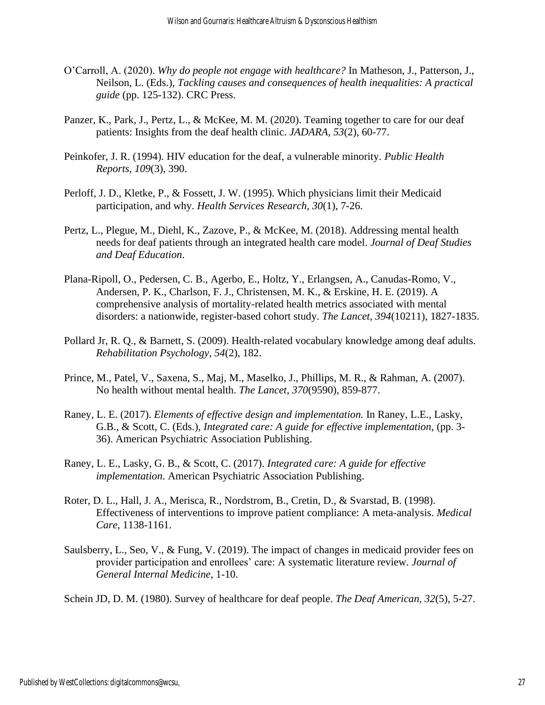- O'Carroll, A. (2020). *Why do people not engage with healthcare?* In Matheson, J., Patterson, J., Neilson, L. (Eds.), *Tackling causes and consequences of health inequalities: A practical guide* (pp. 125-132). CRC Press.
- Panzer, K., Park, J., Pertz, L., & McKee, M. M. (2020). Teaming together to care for our deaf patients: Insights from the deaf health clinic. *JADARA, 53*(2), 60-77.
- Peinkofer, J. R. (1994). HIV education for the deaf, a vulnerable minority. *Public Health Reports, 109*(3), 390.
- Perloff, J. D., Kletke, P., & Fossett, J. W. (1995). Which physicians limit their Medicaid participation, and why. *Health Services Research, 30*(1), 7-26.
- Pertz, L., Plegue, M., Diehl, K., Zazove, P., & McKee, M. (2018). Addressing mental health needs for deaf patients through an integrated health care model. *Journal of Deaf Studies and Deaf Education*.
- Plana-Ripoll, O., Pedersen, C. B., Agerbo, E., Holtz, Y., Erlangsen, A., Canudas-Romo, V., Andersen, P. K., Charlson, F. J., Christensen, M. K., & Erskine, H. E. (2019). A comprehensive analysis of mortality-related health metrics associated with mental disorders: a nationwide, register-based cohort study. *The Lancet, 394*(10211), 1827-1835.
- Pollard Jr, R. Q., & Barnett, S. (2009). Health-related vocabulary knowledge among deaf adults. *Rehabilitation Psychology, 54*(2), 182.
- Prince, M., Patel, V., Saxena, S., Maj, M., Maselko, J., Phillips, M. R., & Rahman, A. (2007). No health without mental health. *The Lancet, 370*(9590), 859-877.
- Raney, L. E. (2017). *Elements of effective design and implementation.* In Raney, L.E., Lasky, G.B., & Scott, C. (Eds.), *Integrated care: A guide for effective implementation*, (pp. 3- 36). American Psychiatric Association Publishing.
- Raney, L. E., Lasky, G. B., & Scott, C. (2017). *Integrated care: A guide for effective implementation*. American Psychiatric Association Publishing.
- Roter, D. L., Hall, J. A., Merisca, R., Nordstrom, B., Cretin, D., & Svarstad, B. (1998). Effectiveness of interventions to improve patient compliance: A meta-analysis. *Medical Care*, 1138-1161.
- Saulsberry, L., Seo, V., & Fung, V. (2019). The impact of changes in medicaid provider fees on provider participation and enrollees' care: A systematic literature review. *Journal of General Internal Medicine*, 1-10.

Schein JD, D. M. (1980). Survey of healthcare for deaf people. *The Deaf American, 32*(5), 5-27.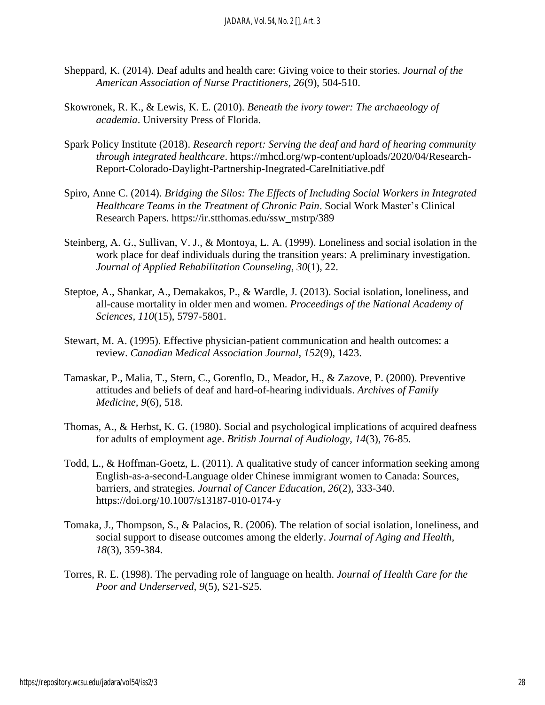- Sheppard, K. (2014). Deaf adults and health care: Giving voice to their stories. *Journal of the American Association of Nurse Practitioners, 26*(9), 504-510.
- Skowronek, R. K., & Lewis, K. E. (2010). *Beneath the ivory tower: The archaeology of academia*. University Press of Florida.
- Spark Policy Institute (2018). *Research report: Serving the deaf and hard of hearing community through integrated healthcare*. https://mhcd.org/wp-content/uploads/2020/04/Research-Report-Colorado-Daylight-Partnership-Inegrated-CareInitiative.pdf
- Spiro, Anne C. (2014). *Bridging the Silos: The Effects of Including Social Workers in Integrated Healthcare Teams in the Treatment of Chronic Pain*. Social Work Master's Clinical Research Papers. https://ir.stthomas.edu/ssw\_mstrp/389
- Steinberg, A. G., Sullivan, V. J., & Montoya, L. A. (1999). Loneliness and social isolation in the work place for deaf individuals during the transition years: A preliminary investigation. *Journal of Applied Rehabilitation Counseling, 30*(1), 22.
- Steptoe, A., Shankar, A., Demakakos, P., & Wardle, J. (2013). Social isolation, loneliness, and all-cause mortality in older men and women. *Proceedings of the National Academy of Sciences, 110*(15), 5797-5801.
- Stewart, M. A. (1995). Effective physician-patient communication and health outcomes: a review. *Canadian Medical Association Journal, 152*(9), 1423.
- Tamaskar, P., Malia, T., Stern, C., Gorenflo, D., Meador, H., & Zazove, P. (2000). Preventive attitudes and beliefs of deaf and hard-of-hearing individuals. *Archives of Family Medicine, 9*(6), 518.
- Thomas, A., & Herbst, K. G. (1980). Social and psychological implications of acquired deafness for adults of employment age. *British Journal of Audiology, 14*(3), 76-85.
- Todd, L., & Hoffman-Goetz, L. (2011). A qualitative study of cancer information seeking among English-as-a-second-Language older Chinese immigrant women to Canada: Sources, barriers, and strategies. *Journal of Cancer Education, 26*(2), 333-340. https://doi.org/10.1007/s13187-010-0174-y
- Tomaka, J., Thompson, S., & Palacios, R. (2006). The relation of social isolation, loneliness, and social support to disease outcomes among the elderly. *Journal of Aging and Health, 18*(3), 359-384.
- Torres, R. E. (1998). The pervading role of language on health. *Journal of Health Care for the Poor and Underserved, 9*(5), S21-S25.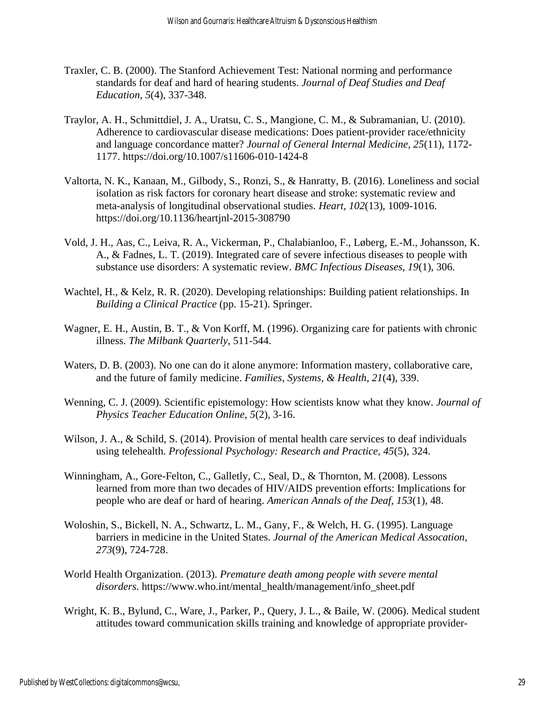- Traxler, C. B. (2000). The Stanford Achievement Test: National norming and performance standards for deaf and hard of hearing students. *Journal of Deaf Studies and Deaf Education, 5*(4), 337-348.
- Traylor, A. H., Schmittdiel, J. A., Uratsu, C. S., Mangione, C. M., & Subramanian, U. (2010). Adherence to cardiovascular disease medications: Does patient-provider race/ethnicity and language concordance matter? *Journal of General Internal Medicine, 25*(11), 1172- 1177. https://doi.org/10.1007/s11606-010-1424-8
- Valtorta, N. K., Kanaan, M., Gilbody, S., Ronzi, S., & Hanratty, B. (2016). Loneliness and social isolation as risk factors for coronary heart disease and stroke: systematic review and meta-analysis of longitudinal observational studies. *Heart, 102*(13), 1009-1016. https://doi.org/10.1136/heartjnl-2015-308790
- Vold, J. H., Aas, C., Leiva, R. A., Vickerman, P., Chalabianloo, F., Løberg, E.-M., Johansson, K. A., & Fadnes, L. T. (2019). Integrated care of severe infectious diseases to people with substance use disorders: A systematic review. *BMC Infectious Diseases, 19*(1), 306.
- Wachtel, H., & Kelz, R. R. (2020). Developing relationships: Building patient relationships. In *Building a Clinical Practice* (pp. 15-21). Springer.
- Wagner, E. H., Austin, B. T., & Von Korff, M. (1996). Organizing care for patients with chronic illness. *The Milbank Quarterly*, 511-544.
- Waters, D. B. (2003). No one can do it alone anymore: Information mastery, collaborative care, and the future of family medicine. *Families, Systems, & Health, 21*(4), 339.
- Wenning, C. J. (2009). Scientific epistemology: How scientists know what they know. *Journal of Physics Teacher Education Online, 5*(2), 3-16.
- Wilson, J. A., & Schild, S. (2014). Provision of mental health care services to deaf individuals using telehealth. *Professional Psychology: Research and Practice, 45*(5), 324.
- Winningham, A., Gore-Felton, C., Galletly, C., Seal, D., & Thornton, M. (2008). Lessons learned from more than two decades of HIV/AIDS prevention efforts: Implications for people who are deaf or hard of hearing. *American Annals of the Deaf, 153*(1), 48.
- Woloshin, S., Bickell, N. A., Schwartz, L. M., Gany, F., & Welch, H. G. (1995). Language barriers in medicine in the United States. *Journal of the American Medical Assocation, 273*(9), 724-728.
- World Health Organization. (2013). *Premature death among people with severe mental disorders*. https://www.who.int/mental\_health/management/info\_sheet.pdf
- Wright, K. B., Bylund, C., Ware, J., Parker, P., Query, J. L., & Baile, W. (2006). Medical student attitudes toward communication skills training and knowledge of appropriate provider-